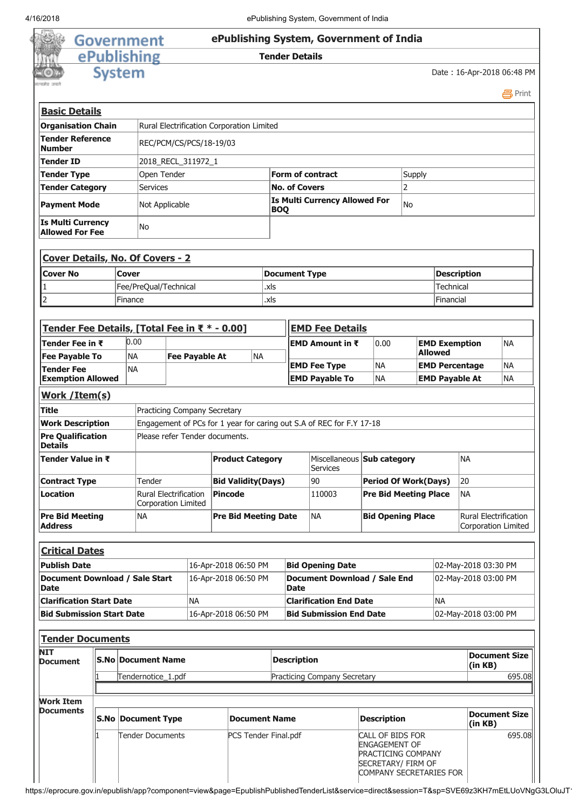$\overline{\phantom{a}}$ 

| 4/16/2018                                          |                                                      |                         |                                                     |                                                                      |                       |                      |                                                           |                                             |                               | ePublishing System, Government of India       |                                                                |                                    |           |                      |                                    |                                                     |        |
|----------------------------------------------------|------------------------------------------------------|-------------------------|-----------------------------------------------------|----------------------------------------------------------------------|-----------------------|----------------------|-----------------------------------------------------------|---------------------------------------------|-------------------------------|-----------------------------------------------|----------------------------------------------------------------|------------------------------------|-----------|----------------------|------------------------------------|-----------------------------------------------------|--------|
|                                                    |                                                      |                         | Government                                          |                                                                      |                       |                      |                                                           |                                             |                               | ePublishing System, Government of India       |                                                                |                                    |           |                      |                                    |                                                     |        |
|                                                    |                                                      |                         | ePublishing                                         |                                                                      |                       |                      |                                                           |                                             | <b>Tender Details</b>         |                                               |                                                                |                                    |           |                      |                                    |                                                     |        |
|                                                    |                                                      |                         |                                                     |                                                                      |                       |                      |                                                           |                                             |                               |                                               |                                                                |                                    |           |                      |                                    |                                                     |        |
|                                                    | System                                               |                         |                                                     |                                                                      |                       |                      |                                                           |                                             |                               |                                               |                                                                |                                    |           |                      | Date: 16-Apr-2018 06:48 PM         |                                                     | 昌Print |
| <b>Basic Details</b>                               |                                                      |                         |                                                     |                                                                      |                       |                      |                                                           |                                             |                               |                                               |                                                                |                                    |           |                      |                                    |                                                     |        |
| <b>Organisation Chain</b>                          |                                                      |                         | Rural Electrification Corporation Limited           |                                                                      |                       |                      |                                                           |                                             |                               |                                               |                                                                |                                    |           |                      |                                    |                                                     |        |
| <b>Tender Reference</b><br><b>Number</b>           |                                                      |                         |                                                     | REC/PCM/CS/PCS/18-19/03                                              |                       |                      |                                                           |                                             |                               |                                               |                                                                |                                    |           |                      |                                    |                                                     |        |
| <b>Tender ID</b>                                   |                                                      |                         | 2018_RECL_311972_1                                  |                                                                      |                       |                      |                                                           |                                             |                               |                                               |                                                                |                                    |           |                      |                                    |                                                     |        |
| <b>Tender Type</b>                                 |                                                      |                         | Open Tender                                         |                                                                      |                       |                      |                                                           | <b>Form of contract</b>                     |                               |                                               |                                                                |                                    | Supply    |                      |                                    |                                                     |        |
| <b>Tender Category</b>                             |                                                      |                         | <b>Services</b>                                     |                                                                      |                       |                      |                                                           | <b>No. of Covers</b>                        |                               |                                               |                                                                | $\overline{2}$                     |           |                      |                                    |                                                     |        |
| <b>Payment Mode</b>                                |                                                      |                         | Not Applicable                                      |                                                                      |                       |                      | <b>Is Multi Currency Allowed For</b><br>No.<br><b>BOQ</b> |                                             |                               |                                               |                                                                |                                    |           |                      |                                    |                                                     |        |
| <b>Is Multi Currency</b><br><b>Allowed For Fee</b> |                                                      |                         | No                                                  |                                                                      |                       |                      |                                                           |                                             |                               |                                               |                                                                |                                    |           |                      |                                    |                                                     |        |
| <b>Cover Details, No. Of Covers - 2</b>            |                                                      |                         |                                                     |                                                                      |                       |                      |                                                           |                                             |                               |                                               |                                                                |                                    |           |                      |                                    |                                                     |        |
| Cover No                                           |                                                      | Cover                   |                                                     |                                                                      |                       |                      |                                                           |                                             | <b>Document Type</b>          |                                               |                                                                |                                    |           |                      | <b>Description</b>                 |                                                     |        |
|                                                    |                                                      |                         | Fee/PreQual/Technical                               |                                                                      |                       |                      |                                                           | .xls                                        |                               |                                               |                                                                |                                    | Technical |                      |                                    |                                                     |        |
| $\overline{2}$                                     |                                                      | Finance                 |                                                     |                                                                      |                       |                      |                                                           | .xls                                        |                               |                                               |                                                                |                                    |           | Financial            |                                    |                                                     |        |
|                                                    |                                                      |                         |                                                     |                                                                      |                       |                      |                                                           |                                             |                               |                                               |                                                                |                                    |           |                      |                                    |                                                     |        |
| Tender Fee Details, [Total Fee in ₹ * - 0.00]      |                                                      |                         |                                                     |                                                                      |                       |                      |                                                           |                                             |                               | <b>EMD Fee Details</b>                        |                                                                |                                    |           |                      |                                    |                                                     |        |
| Tender Fee in ₹                                    |                                                      | 0.00                    |                                                     |                                                                      |                       |                      |                                                           |                                             |                               | <b>EMD Amount in <math>\bar{x}</math></b>     |                                                                | 0.00                               |           |                      | <b>EMD Exemption</b>               | NA                                                  |        |
| <b>Fee Payable To</b>                              |                                                      | <b>NA</b>               |                                                     |                                                                      | <b>Fee Payable At</b> |                      | <b>NA</b>                                                 |                                             |                               |                                               |                                                                |                                    |           | <b>Allowed</b>       |                                    |                                                     |        |
| <b>Tender Fee</b>                                  |                                                      | NA                      |                                                     |                                                                      |                       |                      |                                                           | <b>EMD Fee Type</b>                         |                               |                                               |                                                                | <b>NA</b>                          |           |                      | <b>NA</b><br><b>EMD Percentage</b> |                                                     |        |
| <b>Exemption Allowed</b>                           |                                                      |                         |                                                     |                                                                      |                       |                      |                                                           |                                             | <b>EMD Payable To</b>         |                                               |                                                                | <b>NA</b><br><b>EMD Payable At</b> |           |                      | NA                                 |                                                     |        |
| Work /Item(s)                                      |                                                      |                         |                                                     |                                                                      |                       |                      |                                                           |                                             |                               |                                               |                                                                |                                    |           |                      |                                    |                                                     |        |
| <b>Title</b>                                       |                                                      |                         | Practicing Company Secretary                        |                                                                      |                       |                      |                                                           |                                             |                               |                                               |                                                                |                                    |           |                      |                                    |                                                     |        |
| <b>Work Description</b>                            |                                                      |                         |                                                     | Engagement of PCs for 1 year for caring out S.A of REC for F.Y 17-18 |                       |                      |                                                           |                                             |                               |                                               |                                                                |                                    |           |                      |                                    |                                                     |        |
| <b>Pre Qualification</b><br><b>Details</b>         |                                                      |                         | Please refer Tender documents.                      |                                                                      |                       |                      |                                                           |                                             |                               |                                               |                                                                |                                    |           |                      |                                    |                                                     |        |
| Tender Value in ₹                                  |                                                      |                         |                                                     |                                                                      |                       |                      | <b>Product Category</b>                                   |                                             |                               | Miscellaneous Sub category<br><b>Services</b> |                                                                |                                    |           |                      | NA                                 |                                                     |        |
| <b>Contract Type</b>                               |                                                      |                         | Tender                                              |                                                                      |                       |                      | <b>Bid Validity(Days)</b>                                 |                                             | 90                            |                                               | <b>Period Of Work(Days)</b>                                    |                                    |           | 20                   |                                    |                                                     |        |
| <b>Location</b>                                    |                                                      |                         | <b>Rural Electrification</b><br>Corporation Limited |                                                                      |                       | Pincode              |                                                           |                                             |                               | 110003                                        |                                                                | <b>Pre Bid Meeting Place</b>       |           | <b>NA</b>            |                                    |                                                     |        |
| <b>Pre Bid Meeting</b><br>Address                  |                                                      |                         | <b>NA</b>                                           |                                                                      |                       |                      | <b>Pre Bid Meeting Date</b>                               |                                             | <b>NA</b>                     |                                               |                                                                | <b>Bid Opening Place</b>           |           |                      |                                    | <b>Rural Electrification</b><br>Corporation Limited |        |
| <b>Critical Dates</b>                              |                                                      |                         |                                                     |                                                                      |                       |                      |                                                           |                                             |                               |                                               |                                                                |                                    |           |                      |                                    |                                                     |        |
| <b>Publish Date</b>                                |                                                      |                         |                                                     |                                                                      |                       | 16-Apr-2018 06:50 PM |                                                           |                                             |                               | <b>Bid Opening Date</b>                       |                                                                |                                    |           |                      | 02-May-2018 03:30 PM               |                                                     |        |
| Document Download / Sale Start<br><b>Date</b>      |                                                      |                         |                                                     | 16-Apr-2018 06:50 PM                                                 |                       |                      |                                                           | Document Download / Sale End<br><b>Date</b> |                               |                                               |                                                                |                                    |           | 02-May-2018 03:00 PM |                                    |                                                     |        |
| <b>Clarification Start Date</b>                    |                                                      |                         |                                                     | <b>NA</b>                                                            |                       |                      |                                                           |                                             | <b>Clarification End Date</b> |                                               |                                                                |                                    |           | NA                   |                                    |                                                     |        |
| <b>Bid Submission Start Date</b>                   |                                                      |                         |                                                     |                                                                      |                       | 16-Apr-2018 06:50 PM |                                                           |                                             |                               | <b>Bid Submission End Date</b>                |                                                                |                                    |           |                      | 02-May-2018 03:00 PM               |                                                     |        |
|                                                    |                                                      |                         |                                                     |                                                                      |                       |                      |                                                           |                                             |                               |                                               |                                                                |                                    |           |                      |                                    |                                                     |        |
| <b>NIT</b><br>Document                             | <b>Tender Documents</b><br><b>S.No Document Name</b> |                         |                                                     |                                                                      |                       |                      |                                                           |                                             | <b>Description</b>            |                                               |                                                                |                                    |           | <b>Document Size</b> |                                    |                                                     |        |
|                                                    |                                                      |                         | Tendernotice_1.pdf                                  |                                                                      |                       |                      |                                                           | Practicing Company Secretary                |                               |                                               |                                                                | (in KB)                            |           | 695.08               |                                    |                                                     |        |
|                                                    |                                                      |                         |                                                     |                                                                      |                       |                      |                                                           |                                             |                               |                                               |                                                                |                                    |           |                      |                                    |                                                     |        |
| <b>Work Item</b><br><b>Documents</b>               |                                                      |                         | <b>S.No Document Type</b>                           |                                                                      |                       |                      |                                                           | <b>Document Name</b>                        |                               |                                               | <b>Description</b>                                             |                                    |           |                      |                                    | <b>Document Size</b>                                |        |
|                                                    |                                                      |                         |                                                     |                                                                      |                       |                      |                                                           | PCS Tender Final.pdf                        |                               |                                               |                                                                |                                    |           | (in KB)              |                                    |                                                     |        |
|                                                    |                                                      | <b>Tender Documents</b> |                                                     |                                                                      |                       |                      |                                                           |                                             |                               |                                               | CALL OF BIDS FOR<br><b>ENGAGEMENT OF</b><br>PRACTICING COMPANY |                                    |           |                      |                                    |                                                     | 695.08 |

https://eprocure.gov.in/epublish/app?component=view&page=EpublishPublishedTenderList&service=direct&session=T&sp=SVE69z3KH7mEtLUoVNgG3LOluJT1

SECRETARY/ FIRM OF COMPANY SECRETARIES FOR

Ш